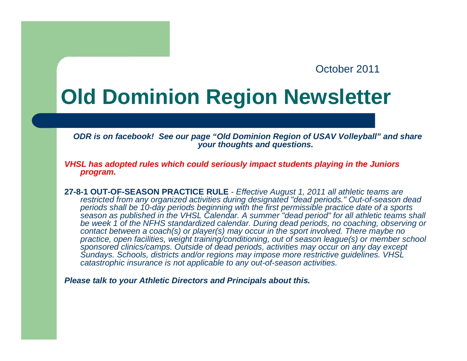## October 2011

## **Old Dominion Region Newsletter**

*ODR is on facebook! See our page "Old Dominion Region of USAV Volleyball" and share your thoughts and questions.*

*VHSL has adopted rules which could seriously impact students playing in the Juniors program.*

**27-8-1 OUT-OF-SEASON PRACTICE RULE** - *Effective August 1, 2011 all athletic teams are restricted from any organized activities during designated "dead periods." Out-of-season dead periods shall be 10-day periods beginning with the first permissible practice date of a sports season as published in the VHSL Calendar. A summer "dead period" for all athletic teams shall be week 1 of the NFHS standardized calendar. During dead periods, no coaching, observing or contact between a coach(s) or player(s) may occur in the sport involved. There maybe no practice, open facilities, weight training/conditioning, out of season league(s) or member school sponsored clinics/camps. Outside of dead periods, activities may occur on any day except Sundays. Schools, districts and/or regions may impose more restrictive guidelines. VHSL catastrophic insurance is not applicable to any out-of-season activities.*

*Please talk to your Athletic Directors and Principals about this.*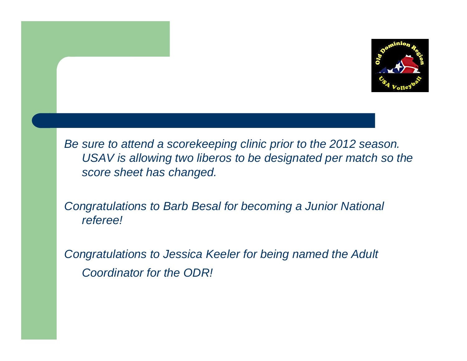

*Be sure to attend a scorekeeping clinic prior to the 2012 season. USAV is allowing two liberos to be designated per match so the score sheet has changed.*

*Congratulations to Barb Besal for becoming a Junior National referee!* 

*Congratulations to Jessica Keeler for being named the Adult Coordinator for the ODR!*